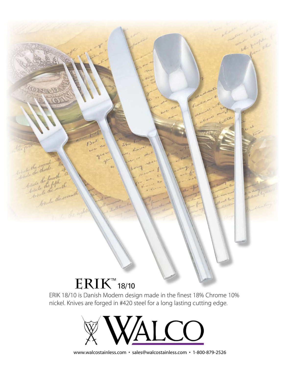## $\mathrm{ERIK}^\text{\tiny\rm{m}}$ 18/10

ticle the occasion

de the me fourth

ricle the serve

ERIK 18/10 is Danish Modern design made in the finest 18% Chrome 10% nickel. Knives are forged in #420 steel for a long lasting cutting edge.